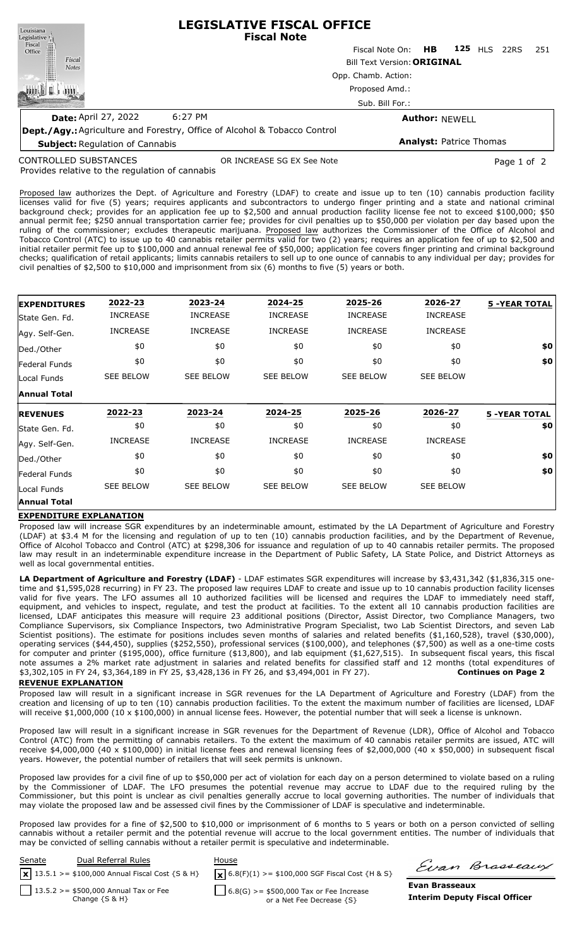| Louisiana                                                                        |                                                                             | <b>LEGISLATIVE FISCAL OFFICE</b><br><b>Fiscal Note</b> |  |                                |      |      |                             |         |                 |                       |  |  |  |
|----------------------------------------------------------------------------------|-----------------------------------------------------------------------------|--------------------------------------------------------|--|--------------------------------|------|------|-----------------------------|---------|-----------------|-----------------------|--|--|--|
| Legislative<br>Fiscal<br>Office                                                  |                                                                             | Fiscal Note On: HB                                     |  | <b>125 HLS</b>                 | 22RS | -251 |                             |         |                 |                       |  |  |  |
| Fiscal<br><b>Notes</b>                                                           | <b>Bill Text Version: ORIGINAL</b><br>Opp. Chamb. Action:<br>Proposed Amd.: |                                                        |  |                                |      |      |                             |         |                 |                       |  |  |  |
|                                                                                  |                                                                             |                                                        |  |                                |      |      |                             |         | Sub. Bill For.: |                       |  |  |  |
|                                                                                  |                                                                             |                                                        |  |                                |      |      | <b>Date: April 27, 2022</b> | 6:27 PM |                 | <b>Author: NEWELL</b> |  |  |  |
| <b>Dept./Agy.:</b> Agriculture and Forestry, Office of Alcohol & Tobacco Control |                                                                             |                                                        |  |                                |      |      |                             |         |                 |                       |  |  |  |
| <b>Subject: Regulation of Cannabis</b>                                           |                                                                             |                                                        |  | <b>Analyst: Patrice Thomas</b> |      |      |                             |         |                 |                       |  |  |  |

CONTROLLED SUBSTANCES

OR INCREASE SG EX See Note **Page 1 of 2** and 2

Provides relative to the regulation of cannabis

Proposed law authorizes the Dept. of Agriculture and Forestry (LDAF) to create and issue up to ten (10) cannabis production facility licenses valid for five (5) years; requires applicants and subcontractors to undergo finger printing and a state and national criminal background check; provides for an application fee up to \$2,500 and annual production facility license fee not to exceed \$100,000; \$50 annual permit fee; \$250 annual transportation carrier fee; provides for civil penalties up to \$50,000 per violation per day based upon the ruling of the commissioner; excludes therapeutic marijuana. Proposed law authorizes the Commissioner of the Office of Alcohol and Tobacco Control (ATC) to issue up to 40 cannabis retailer permits valid for two (2) years; requires an application fee of up to \$2,500 and initial retailer permit fee up to \$100,000 and annual renewal fee of \$50,000; application fee covers finger printing and criminal background checks; qualification of retail applicants; limits cannabis retailers to sell up to one ounce of cannabis to any individual per day; provides for civil penalties of \$2,500 to \$10,000 and imprisonment from six (6) months to five (5) years or both.

|                      | 2022-23          | 2023-24          | 2024-25          | 2025-26          | 2026-27          | <b>5 -YEAR TOTAL</b> |
|----------------------|------------------|------------------|------------------|------------------|------------------|----------------------|
| <b>EXPENDITURES</b>  |                  |                  |                  |                  |                  |                      |
| State Gen. Fd.       | <b>INCREASE</b>  | <b>INCREASE</b>  | <b>INCREASE</b>  | <b>INCREASE</b>  | <b>INCREASE</b>  |                      |
| Agy. Self-Gen.       | <b>INCREASE</b>  | <b>INCREASE</b>  | <b>INCREASE</b>  | <b>INCREASE</b>  | <b>INCREASE</b>  |                      |
| Ded./Other           | \$0              | \$0              | \$0              | \$0              | \$0              | \$0                  |
| <b>Federal Funds</b> | \$0              | \$0              | \$0              | \$0              | \$0              | \$0                  |
| Local Funds          | <b>SEE BELOW</b> | <b>SEE BELOW</b> | <b>SEE BELOW</b> | <b>SEE BELOW</b> | <b>SEE BELOW</b> |                      |
| Annual Total         |                  |                  |                  |                  |                  |                      |
| <b>REVENUES</b>      | 2022-23          | 2023-24          | 2024-25          | 2025-26          | 2026-27          | <b>5 -YEAR TOTAL</b> |
| lState Gen. Fd.      | \$0              | \$0              | \$0              | \$0              | \$0              | \$0                  |
| Agy. Self-Gen.       | <b>INCREASE</b>  | <b>INCREASE</b>  | <b>INCREASE</b>  | <b>INCREASE</b>  | <b>INCREASE</b>  |                      |
| Ded./Other           | \$0              | \$0              | \$0              | \$0              | \$0              | \$0                  |
| <b>Federal Funds</b> | \$0              | \$0              | \$0              | \$0              | \$0              | \$0                  |
|                      | <b>SEE BELOW</b> |                  | <b>SEE BELOW</b> | <b>SEE BELOW</b> | <b>SEE BELOW</b> |                      |
| Local Funds          |                  | <b>SEE BELOW</b> |                  |                  |                  |                      |

## **EXPENDITURE EXPLANATION**

Proposed law will increase SGR expenditures by an indeterminable amount, estimated by the LA Department of Agriculture and Forestry (LDAF) at \$3.4 M for the licensing and regulation of up to ten (10) cannabis production facilities, and by the Department of Revenue, Office of Alcohol Tobacco and Control (ATC) at \$298,306 for issuance and regulation of up to 40 cannabis retailer permits. The proposed law may result in an indeterminable expenditure increase in the Department of Public Safety, LA State Police, and District Attorneys as well as local governmental entities.

**LA Department of Agriculture and Forestry (LDAF)** - LDAF estimates SGR expenditures will increase by \$3,431,342 (\$1,836,315 onetime and \$1,595,028 recurring) in FY 23. The proposed law requires LDAF to create and issue up to 10 cannabis production facility licenses valid for five years. The LFO assumes all 10 authorized facilities will be licensed and requires the LDAF to immediately need staff, equipment, and vehicles to inspect, regulate, and test the product at facilities. To the extent all 10 cannabis production facilities are licensed, LDAF anticipates this measure will require 23 additional positions (Director, Assist Director, two Compliance Managers, two Compliance Supervisors, six Compliance Inspectors, two Administrative Program Specialist, two Lab Scientist Directors, and seven Lab Scientist positions). The estimate for positions includes seven months of salaries and related benefits (\$1,160,528), travel (\$30,000), operating services (\$44,450), supplies (\$252,550), professional services (\$100,000), and telephones (\$7,500) as well as a one-time costs for computer and printer (\$195,000), office furniture (\$13,800), and lab equipment (\$1,627,515). In subsequent fiscal years, this fiscal note assumes a 2% market rate adjustment in salaries and related benefits for classified staff and 12 months (total expenditures of \$3,302,105 in FY 24, \$3,364,189 in FY 25, \$3,428,136 in FY 26, and \$3,494,001 in FY 27). **Continues on Page 2**

## **REVENUE EXPLANATION**

Proposed law will result in a significant increase in SGR revenues for the LA Department of Agriculture and Forestry (LDAF) from the creation and licensing of up to ten (10) cannabis production facilities. To the extent the maximum number of facilities are licensed, LDAF will receive \$1,000,000 (10 x \$100,000) in annual license fees. However, the potential number that will seek a license is unknown.

Proposed law will result in a significant increase in SGR revenues for the Department of Revenue (LDR), Office of Alcohol and Tobacco Control (ATC) from the permitting of cannabis retailers. To the extent the maximum of 40 cannabis retailer permits are issued, ATC will receive \$4,000,000 (40 x \$100,000) in initial license fees and renewal licensing fees of \$2,000,000 (40 x \$50,000) in subsequent fiscal years. However, the potential number of retailers that will seek permits is unknown.

Proposed law provides for a civil fine of up to \$50,000 per act of violation for each day on a person determined to violate based on a ruling by the Commissioner of LDAF. The LFO presumes the potential revenue may accrue to LDAF due to the required ruling by the Commissioner, but this point is unclear as civil penalties generally accrue to local governing authorities. The number of individuals that may violate the proposed law and be assessed civil fines by the Commissioner of LDAF is speculative and indeterminable.

Proposed law provides for a fine of \$2,500 to \$10,000 or imprisonment of 6 months to 5 years or both on a person convicted of selling cannabis without a retailer permit and the potential revenue will accrue to the local government entities. The number of individuals that may be convicted of selling cannabis without a retailer permit is speculative and indeterminable.



Evan Brasseaux

**Evan Brasseaux Interim Deputy Fiscal Officer**